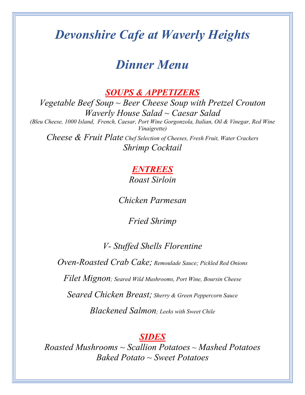# *Devonshire Cafe at Waverly Heights*

# *Dinner Menu*

*SOUPS & APPETIZERS*

*Vegetable Beef Soup ~ Beer Cheese Soup with Pretzel Crouton Waverly House Salad ~ Caesar Salad (Bleu Cheese, 1000 Island, French, Caesar, Port Wine Gorgonzola, Italian, Oil & Vinegar, Red Wine Vinaigrette) Cheese & Fruit Plate Chef Selection of Cheeses, Fresh Fruit, Water Crackers Shrimp Cocktail* 

### *ENTREES Roast Sirloin*

*Chicken Parmesan*

*Fried Shrimp*

## *V- Stuffed Shells Florentine*

*Oven-Roasted Crab Cake; Remoulade Sauce; Pickled Red Onions*

*Filet Mignon; Seared Wild Mushrooms, Port Wine, Boursin Cheese*

*Seared Chicken Breast; Sherry & Green Peppercorn Sauce*

*Blackened Salmon; Leeks with Sweet Chile*

#### *SIDES*

*Roasted Mushrooms ~ Scallion Potatoes ~ Mashed Potatoes Baked Potato ~ Sweet Potatoes*